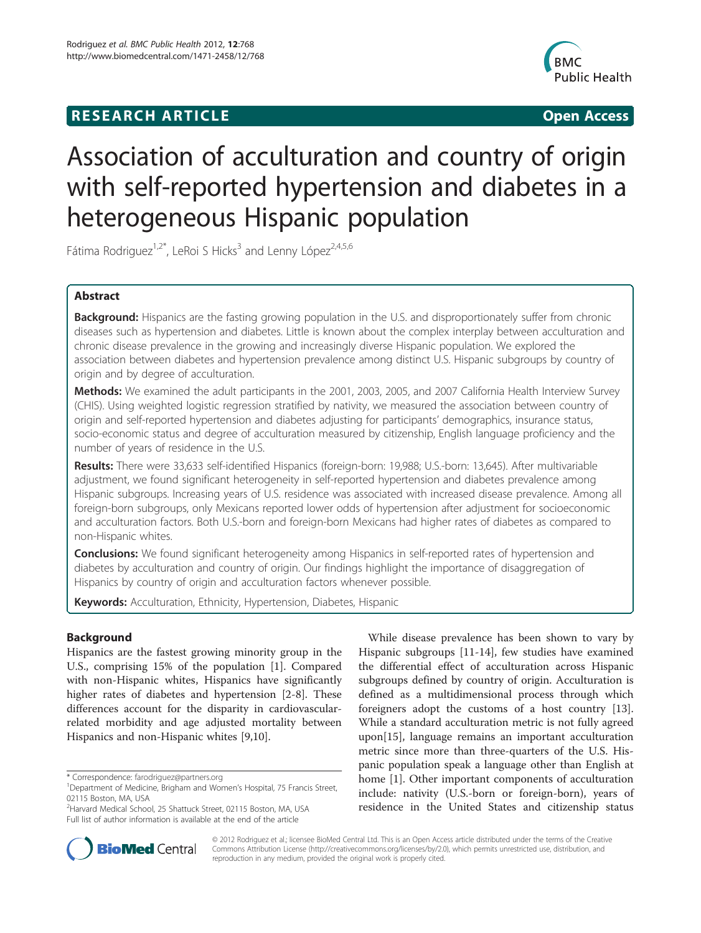# **RESEARCH ARTICLE Example 2014 12:30 The SEAR CHA RESEARCH ARTICLE**



# Association of acculturation and country of origin with self-reported hypertension and diabetes in a heterogeneous Hispanic population

Fátima Rodriguez<sup>1,2\*</sup>, LeRoi S Hicks<sup>3</sup> and Lenny López<sup>2,4,5,6</sup>

# Abstract

Background: Hispanics are the fasting growing population in the U.S. and disproportionately suffer from chronic diseases such as hypertension and diabetes. Little is known about the complex interplay between acculturation and chronic disease prevalence in the growing and increasingly diverse Hispanic population. We explored the association between diabetes and hypertension prevalence among distinct U.S. Hispanic subgroups by country of origin and by degree of acculturation.

Methods: We examined the adult participants in the 2001, 2003, 2005, and 2007 California Health Interview Survey (CHIS). Using weighted logistic regression stratified by nativity, we measured the association between country of origin and self-reported hypertension and diabetes adjusting for participants' demographics, insurance status, socio-economic status and degree of acculturation measured by citizenship, English language proficiency and the number of years of residence in the U.S.

Results: There were 33,633 self-identified Hispanics (foreign-born: 19,988; U.S.-born: 13,645). After multivariable adjustment, we found significant heterogeneity in self-reported hypertension and diabetes prevalence among Hispanic subgroups. Increasing years of U.S. residence was associated with increased disease prevalence. Among all foreign-born subgroups, only Mexicans reported lower odds of hypertension after adjustment for socioeconomic and acculturation factors. Both U.S.-born and foreign-born Mexicans had higher rates of diabetes as compared to non-Hispanic whites.

**Conclusions:** We found significant heterogeneity among Hispanics in self-reported rates of hypertension and diabetes by acculturation and country of origin. Our findings highlight the importance of disaggregation of Hispanics by country of origin and acculturation factors whenever possible.

Keywords: Acculturation, Ethnicity, Hypertension, Diabetes, Hispanic

# **Background**

Hispanics are the fastest growing minority group in the U.S., comprising 15% of the population [[1\]](#page-6-0). Compared with non-Hispanic whites, Hispanics have significantly higher rates of diabetes and hypertension [[2-8](#page-6-0)]. These differences account for the disparity in cardiovascularrelated morbidity and age adjusted mortality between Hispanics and non-Hispanic whites [[9,10\]](#page-6-0).

While disease prevalence has been shown to vary by Hispanic subgroups [[11-](#page-6-0)[14](#page-7-0)], few studies have examined the differential effect of acculturation across Hispanic subgroups defined by country of origin. Acculturation is defined as a multidimensional process through which foreigners adopt the customs of a host country [\[13](#page-7-0)]. While a standard acculturation metric is not fully agreed upon[[15\]](#page-7-0), language remains an important acculturation metric since more than three-quarters of the U.S. Hispanic population speak a language other than English at home [\[1](#page-6-0)]. Other important components of acculturation include: nativity (U.S.-born or foreign-born), years of residence in the United States and citizenship status



© 2012 Rodriguez et al.; licensee BioMed Central Ltd. This is an Open Access article distributed under the terms of the Creative Commons Attribution License [\(http://creativecommons.org/licenses/by/2.0\)](http://creativecommons.org/licenses/by/2.0), which permits unrestricted use, distribution, and reproduction in any medium, provided the original work is properly cited.

<sup>\*</sup> Correspondence: [farodriguez@partners.org](mailto:farodriguez@partners.org) <sup>1</sup>

<sup>&</sup>lt;sup>1</sup>Department of Medicine, Brigham and Women's Hospital, 75 Francis Street, 02115 Boston, MA, USA

<sup>2</sup> Harvard Medical School, 25 Shattuck Street, 02115 Boston, MA, USA Full list of author information is available at the end of the article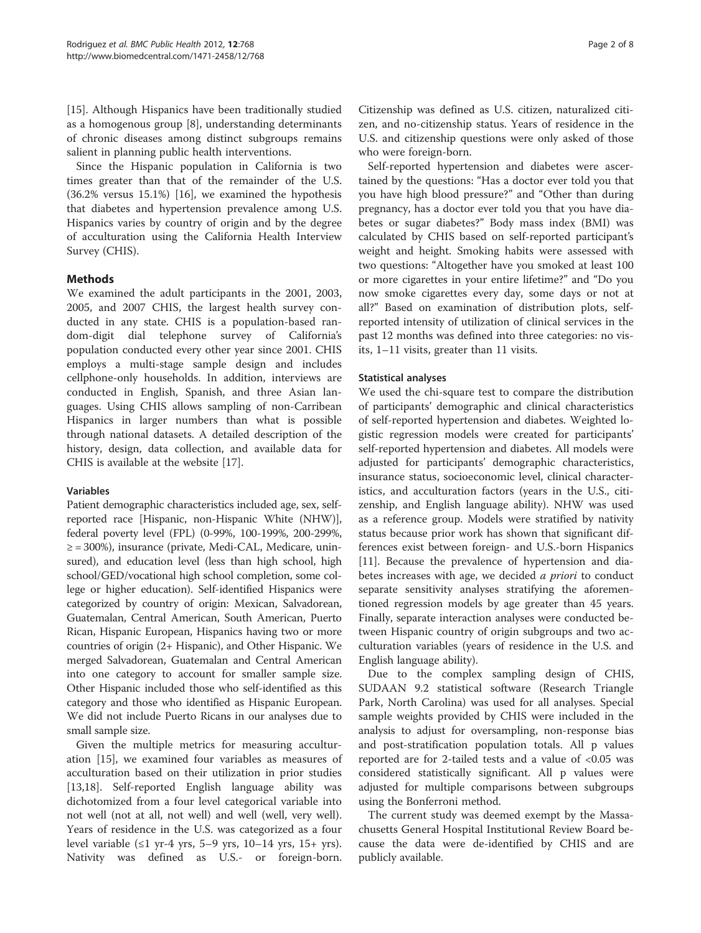[[15\]](#page-7-0). Although Hispanics have been traditionally studied as a homogenous group [[8](#page-6-0)], understanding determinants of chronic diseases among distinct subgroups remains salient in planning public health interventions.

Since the Hispanic population in California is two times greater than that of the remainder of the U.S. (36.2% versus 15.1%) [[16\]](#page-7-0), we examined the hypothesis that diabetes and hypertension prevalence among U.S. Hispanics varies by country of origin and by the degree of acculturation using the California Health Interview Survey (CHIS).

# **Methods**

We examined the adult participants in the 2001, 2003, 2005, and 2007 CHIS, the largest health survey conducted in any state. CHIS is a population-based random-digit dial telephone survey of California's population conducted every other year since 2001. CHIS employs a multi-stage sample design and includes cellphone-only households. In addition, interviews are conducted in English, Spanish, and three Asian languages. Using CHIS allows sampling of non-Carribean Hispanics in larger numbers than what is possible through national datasets. A detailed description of the history, design, data collection, and available data for CHIS is available at the website [[17\]](#page-7-0).

### Variables

Patient demographic characteristics included age, sex, selfreported race [Hispanic, non-Hispanic White (NHW)], federal poverty level (FPL) (0-99%, 100-199%, 200-299%, ≥ = 300%), insurance (private, Medi-CAL, Medicare, uninsured), and education level (less than high school, high school/GED/vocational high school completion, some college or higher education). Self-identified Hispanics were categorized by country of origin: Mexican, Salvadorean, Guatemalan, Central American, South American, Puerto Rican, Hispanic European, Hispanics having two or more countries of origin (2+ Hispanic), and Other Hispanic. We merged Salvadorean, Guatemalan and Central American into one category to account for smaller sample size. Other Hispanic included those who self-identified as this category and those who identified as Hispanic European. We did not include Puerto Ricans in our analyses due to small sample size.

Given the multiple metrics for measuring acculturation [\[15\]](#page-7-0), we examined four variables as measures of acculturation based on their utilization in prior studies [[13,18\]](#page-7-0). Self-reported English language ability was dichotomized from a four level categorical variable into not well (not at all, not well) and well (well, very well). Years of residence in the U.S. was categorized as a four level variable (≤1 yr-4 yrs, 5–9 yrs, 10–14 yrs, 15+ yrs). Nativity was defined as U.S.- or foreign-born.

Citizenship was defined as U.S. citizen, naturalized citizen, and no-citizenship status. Years of residence in the U.S. and citizenship questions were only asked of those who were foreign-born.

Self-reported hypertension and diabetes were ascertained by the questions: "Has a doctor ever told you that you have high blood pressure?" and "Other than during pregnancy, has a doctor ever told you that you have diabetes or sugar diabetes?" Body mass index (BMI) was calculated by CHIS based on self-reported participant's weight and height. Smoking habits were assessed with two questions: "Altogether have you smoked at least 100 or more cigarettes in your entire lifetime?" and "Do you now smoke cigarettes every day, some days or not at all?" Based on examination of distribution plots, selfreported intensity of utilization of clinical services in the past 12 months was defined into three categories: no visits, 1–11 visits, greater than 11 visits.

# Statistical analyses

We used the chi-square test to compare the distribution of participants' demographic and clinical characteristics of self-reported hypertension and diabetes. Weighted logistic regression models were created for participants' self-reported hypertension and diabetes. All models were adjusted for participants' demographic characteristics, insurance status, socioeconomic level, clinical characteristics, and acculturation factors (years in the U.S., citizenship, and English language ability). NHW was used as a reference group. Models were stratified by nativity status because prior work has shown that significant differences exist between foreign- and U.S.-born Hispanics [[11\]](#page-6-0). Because the prevalence of hypertension and diabetes increases with age, we decided a priori to conduct separate sensitivity analyses stratifying the aforementioned regression models by age greater than 45 years. Finally, separate interaction analyses were conducted between Hispanic country of origin subgroups and two acculturation variables (years of residence in the U.S. and English language ability).

Due to the complex sampling design of CHIS, SUDAAN 9.2 statistical software (Research Triangle Park, North Carolina) was used for all analyses. Special sample weights provided by CHIS were included in the analysis to adjust for oversampling, non-response bias and post-stratification population totals. All p values reported are for 2-tailed tests and a value of <0.05 was considered statistically significant. All p values were adjusted for multiple comparisons between subgroups using the Bonferroni method.

The current study was deemed exempt by the Massachusetts General Hospital Institutional Review Board because the data were de-identified by CHIS and are publicly available.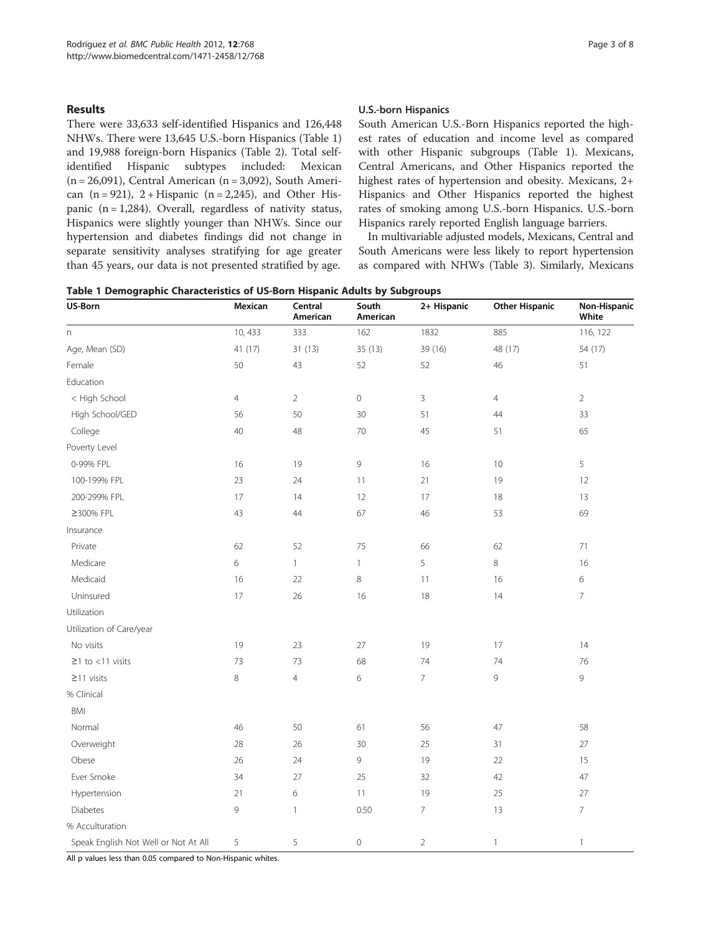# <span id="page-2-0"></span>Results

There were 33,633 self-identified Hispanics and 126,448 NHWs. There were 13,645 U.S.-born Hispanics (Table 1) and 19,988 foreign-born Hispanics (Table [2\)](#page-3-0). Total selfidentified Hispanic subtypes included: Mexican  $(n = 26,091)$ , Central American  $(n = 3,092)$ , South American  $(n = 921)$ , 2 + Hispanic  $(n = 2,245)$ , and Other Hispanic  $(n = 1,284)$ . Overall, regardless of nativity status, Hispanics were slightly younger than NHWs. Since our hypertension and diabetes findings did not change in separate sensitivity analyses stratifying for age greater than 45 years, our data is not presented stratified by age.

# U.S.-born Hispanics

South American U.S.-Born Hispanics reported the highest rates of education and income level as compared with other Hispanic subgroups (Table 1). Mexicans, Central Americans, and Other Hispanics reported the highest rates of hypertension and obesity. Mexicans, 2+ Hispanics and Other Hispanics reported the highest rates of smoking among U.S.-born Hispanics. U.S.-born Hispanics rarely reported English language barriers.

In multivariable adjusted models, Mexicans, Central and South Americans were less likely to report hypertension as compared with NHWs (Table [3\)](#page-4-0). Similarly, Mexicans

| Table 1 Demographic Characteristics of US-Born Hispanic Adults by Subgroups |  |  |
|-----------------------------------------------------------------------------|--|--|
|-----------------------------------------------------------------------------|--|--|

| US-Born                              | Mexican        | Central<br>American | South<br>American | 2+ Hispanic    | <b>Other Hispanic</b> | Non-Hispanic<br>White |
|--------------------------------------|----------------|---------------------|-------------------|----------------|-----------------------|-----------------------|
| n                                    | 10, 433        | 333                 | 162               | 1832           | 885                   | 116, 122              |
| Age, Mean (SD)                       | 41 (17)        | 31 (13)             | 35 (13)           | 39 (16)        | 48 (17)               | 54 (17)               |
| Female                               | 50             | 43                  | 52                | 52             | 46                    | 51                    |
| Education                            |                |                     |                   |                |                       |                       |
| < High School                        | $\overline{4}$ | $\overline{2}$      | $\mathbb O$       | 3              | $\overline{4}$        | $\overline{2}$        |
| High School/GED                      | 56             | 50                  | 30                | 51             | 44                    | 33                    |
| College                              | 40             | 48                  | 70                | 45             | 51                    | 65                    |
| Poverty Level                        |                |                     |                   |                |                       |                       |
| 0-99% FPL                            | 16             | 19                  | $\mathsf 9$       | 16             | $10$                  | 5                     |
| 100-199% FPL                         | 23             | 24                  | 11                | 21             | 19                    | 12                    |
| 200-299% FPL                         | 17             | 14                  | 12                | 17             | 18                    | 13                    |
| ≥300% FPL                            | 43             | 44                  | 67                | 46             | 53                    | 69                    |
| Insurance                            |                |                     |                   |                |                       |                       |
| Private                              | 62             | 52                  | 75                | 66             | 62                    | 71                    |
| Medicare                             | 6              | $\mathbf{1}$        | $\mathbf{1}$      | 5              | 8                     | 16                    |
| Medicaid                             | 16             | 22                  | $\,8\,$           | 11             | 16                    | 6                     |
| Uninsured                            | 17             | 26                  | 16                | 18             | 14                    | $\overline{7}$        |
| Utilization                          |                |                     |                   |                |                       |                       |
| Utilization of Care/year             |                |                     |                   |                |                       |                       |
| No visits                            | 19             | 23                  | 27                | 19             | 17                    | 14                    |
| $\geq$ 1 to <11 visits               | 73             | 73                  | 68                | 74             | 74                    | 76                    |
| $\geq$ 11 visits                     | $\,8\,$        | $\overline{4}$      | 6                 | $\overline{7}$ | 9                     | 9                     |
| % Clinical                           |                |                     |                   |                |                       |                       |
| <b>BMI</b>                           |                |                     |                   |                |                       |                       |
| Normal                               | 46             | 50                  | 61                | 56             | 47                    | 58                    |
| Overweight                           | 28             | 26                  | 30                | 25             | 31                    | 27                    |
| Obese                                | 26             | 24                  | $\mathsf 9$       | 19             | 22                    | 15                    |
| Ever Smoke                           | 34             | 27                  | 25                | 32             | 42                    | $47\,$                |
| Hypertension                         | 21             | 6                   | 11                | 19             | 25                    | $27\,$                |
| Diabetes                             | 9              | $\mathbf{1}$        | 0.50              | $\overline{7}$ | 13                    | $\overline{7}$        |
| % Acculturation                      |                |                     |                   |                |                       |                       |
| Speak English Not Well or Not At All | 5              | 5                   | $\mathbb O$       | $\sqrt{2}$     | $\mathbf{1}$          | $\mathbf{1}$          |

All p values less than 0.05 compared to Non-Hispanic whites.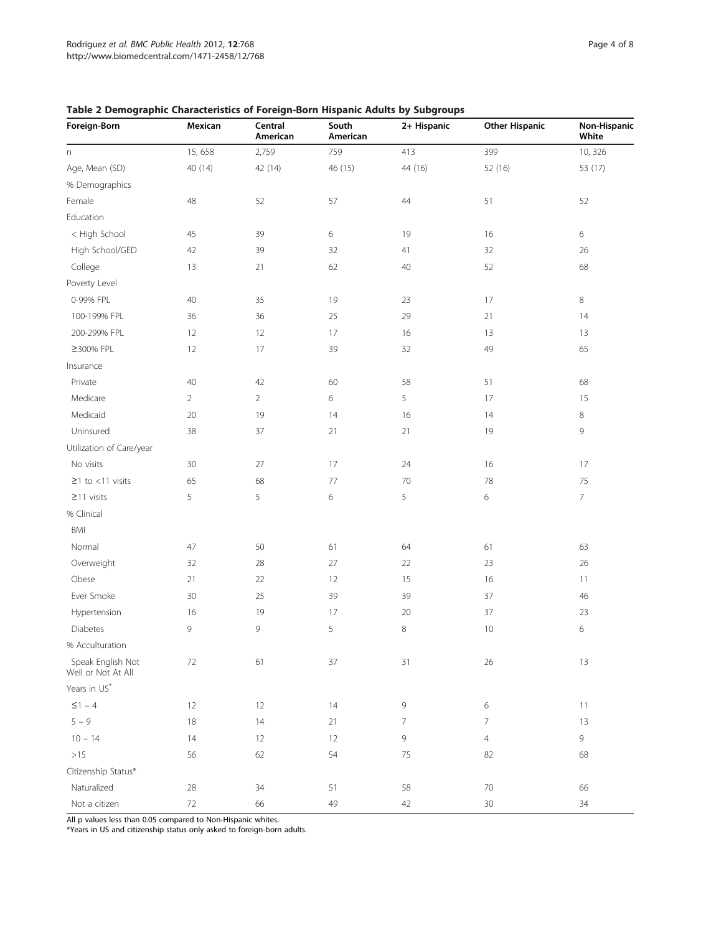| Foreign-Born                            | Mexican        | Central<br>American | South<br>American | 2+ Hispanic    | <b>Other Hispanic</b> | Non-Hispanic<br>White |
|-----------------------------------------|----------------|---------------------|-------------------|----------------|-----------------------|-----------------------|
| n                                       | 15,658         | 2,759               | 759               | 413            | 399                   | 10, 326               |
| Age, Mean (SD)                          | 40 (14)        | 42 (14)             | 46 (15)           | 44 (16)        | 52 (16)               | 53 (17)               |
| % Demographics                          |                |                     |                   |                |                       |                       |
| Female                                  | $48\,$         | 52                  | 57                | $44\,$         | 51                    | 52                    |
| Education                               |                |                     |                   |                |                       |                       |
| < High School                           | 45             | 39                  | 6                 | 19             | 16                    | 6                     |
| High School/GED                         | 42             | 39                  | 32                | 41             | 32                    | 26                    |
| College                                 | 13             | 21                  | 62                | 40             | 52                    | 68                    |
| Poverty Level                           |                |                     |                   |                |                       |                       |
| 0-99% FPL                               | $40\,$         | 35                  | 19                | 23             | 17                    | $\,8\,$               |
| 100-199% FPL                            | 36             | 36                  | 25                | 29             | 21                    | 14                    |
| 200-299% FPL                            | 12             | 12                  | 17                | 16             | 13                    | 13                    |
| ≥300% FPL                               | 12             | $17\,$              | 39                | 32             | 49                    | 65                    |
| Insurance                               |                |                     |                   |                |                       |                       |
| Private                                 | 40             | 42                  | 60                | 58             | 51                    | 68                    |
| Medicare                                | $\overline{2}$ | $\overline{2}$      | 6                 | 5              | 17                    | 15                    |
| Medicaid                                | 20             | 19                  | 14                | 16             | 14                    | 8                     |
| Uninsured                               | 38             | 37                  | 21                | 21             | 19                    | 9                     |
| Utilization of Care/year                |                |                     |                   |                |                       |                       |
| No visits                               | 30             | 27                  | 17                | 24             | 16                    | 17                    |
| $\geq$ 1 to <11 visits                  | 65             | 68                  | 77                | 70             | 78                    | 75                    |
| $\geq$ 11 visits                        | 5              | 5                   | 6                 | 5              | $6\,$                 | $\overline{7}$        |
| % Clinical                              |                |                     |                   |                |                       |                       |
| <b>BMI</b>                              |                |                     |                   |                |                       |                       |
| Normal                                  | 47             | 50                  | 61                | 64             | 61                    | 63                    |
| Overweight                              | 32             | 28                  | $27\,$            | 22             | 23                    | 26                    |
| Obese                                   | 21             | 22                  | 12                | 15             | 16                    | 11                    |
| Ever Smoke                              | 30             | 25                  | 39                | 39             | 37                    | 46                    |
| Hypertension                            | 16             | 19                  | 17                | 20             | 37                    | 23                    |
| Diabetes                                | 9              | 9                   | 5                 | $\,8\,$        | 10                    | 6                     |
| % Acculturation                         |                |                     |                   |                |                       |                       |
| Speak English Not<br>Well or Not At All | $72\,$         | 61                  | 37                | 31             | 26                    | 13                    |
| Years in US*                            |                |                     |                   |                |                       |                       |
| $\leq 1$ – 4                            | 12             | 12                  | 14                | 9              | 6                     | 11                    |
| $5 - 9$                                 | 18             | 14                  | 21                | $\overline{7}$ | $\overline{7}$        | 13                    |
| $10 - 14$                               | 14             | 12                  | 12                | 9              | $\overline{4}$        | 9                     |
| $>15$                                   | 56             | 62                  | 54                | 75             | 82                    | 68                    |
| Citizenship Status*                     |                |                     |                   |                |                       |                       |
| Naturalized                             | $28\,$         | 34                  | 51                | 58             | 70                    | 66                    |
| Not a citizen                           | $72\,$         | 66                  | 49                | 42             | $30\,$                | 34                    |

# <span id="page-3-0"></span>Table 2 Demographic Characteristics of Foreign-Born Hispanic Adults by Subgroups

All p values less than 0.05 compared to Non-Hispanic whites.

\*Years in US and citizenship status only asked to foreign-born adults.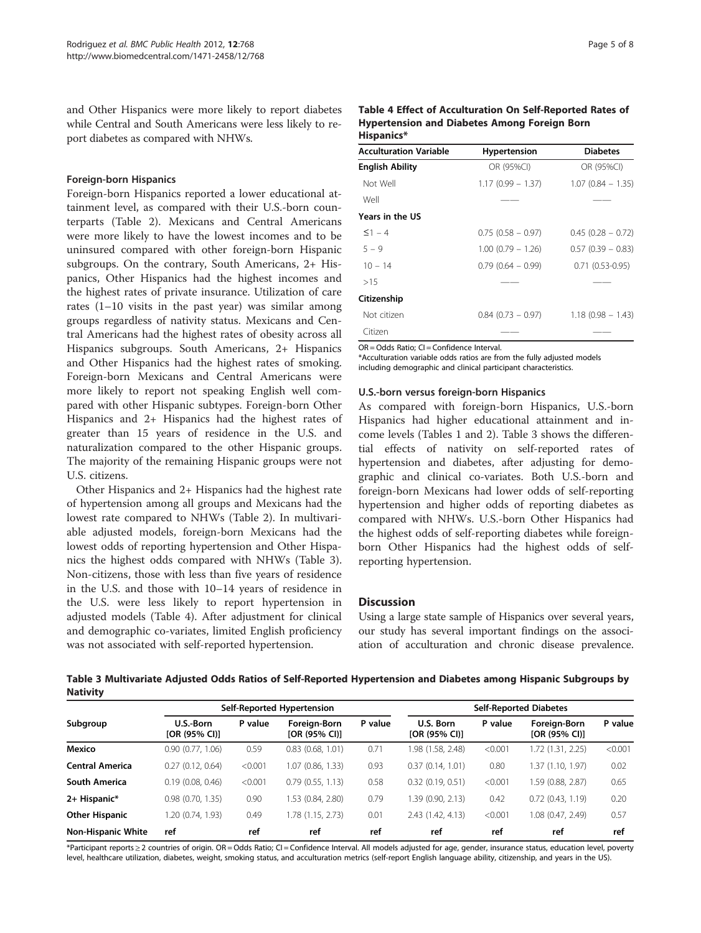<span id="page-4-0"></span>and Other Hispanics were more likely to report diabetes while Central and South Americans were less likely to report diabetes as compared with NHWs.

#### Foreign-born Hispanics

Foreign-born Hispanics reported a lower educational attainment level, as compared with their U.S.-born counterparts (Table [2](#page-3-0)). Mexicans and Central Americans were more likely to have the lowest incomes and to be uninsured compared with other foreign-born Hispanic subgroups. On the contrary, South Americans, 2+ Hispanics, Other Hispanics had the highest incomes and the highest rates of private insurance. Utilization of care rates (1–10 visits in the past year) was similar among groups regardless of nativity status. Mexicans and Central Americans had the highest rates of obesity across all Hispanics subgroups. South Americans, 2+ Hispanics and Other Hispanics had the highest rates of smoking. Foreign-born Mexicans and Central Americans were more likely to report not speaking English well compared with other Hispanic subtypes. Foreign-born Other Hispanics and 2+ Hispanics had the highest rates of greater than 15 years of residence in the U.S. and naturalization compared to the other Hispanic groups. The majority of the remaining Hispanic groups were not U.S. citizens.

Other Hispanics and 2+ Hispanics had the highest rate of hypertension among all groups and Mexicans had the lowest rate compared to NHWs (Table [2\)](#page-3-0). In multivariable adjusted models, foreign-born Mexicans had the lowest odds of reporting hypertension and Other Hispanics the highest odds compared with NHWs (Table 3). Non-citizens, those with less than five years of residence in the U.S. and those with 10–14 years of residence in the U.S. were less likely to report hypertension in adjusted models (Table 4). After adjustment for clinical and demographic co-variates, limited English proficiency was not associated with self-reported hypertension.

#### Table 4 Effect of Acculturation On Self-Reported Rates of Hypertension and Diabetes Among Foreign Born Hispanics\*

| <b>Acculturation Variable</b> | <b>Hypertension</b>  | <b>Diabetes</b>     |  |  |
|-------------------------------|----------------------|---------------------|--|--|
| <b>English Ability</b>        | OR (95%CI)           | OR (95%CI)          |  |  |
| Not Well                      | $1.17(0.99 - 1.37)$  | $1.07(0.84 - 1.35)$ |  |  |
| Well                          |                      |                     |  |  |
| <b>Years in the US</b>        |                      |                     |  |  |
| $\leq 1 - 4$                  | $0.75(0.58 - 0.97)$  | $0.45(0.28 - 0.72)$ |  |  |
| $5 - 9$                       | $1.00(0.79 - 1.26)$  | $0.57(0.39 - 0.83)$ |  |  |
| $10 - 14$                     | $0.79(0.64 - 0.99)$  | $0.71(0.53-0.95)$   |  |  |
| >15                           |                      |                     |  |  |
| Citizenship                   |                      |                     |  |  |
| Not citizen                   | $0.84$ (0.73 - 0.97) | $1.18(0.98 - 1.43)$ |  |  |
| Citizen                       |                      |                     |  |  |

OR = Odds Ratio; CI = Confidence Interval.

\*Acculturation variable odds ratios are from the fully adjusted models including demographic and clinical participant characteristics.

#### U.S.-born versus foreign-born Hispanics

As compared with foreign-born Hispanics, U.S.-born Hispanics had higher educational attainment and income levels (Tables [1](#page-2-0) and [2](#page-3-0)). Table 3 shows the differential effects of nativity on self-reported rates of hypertension and diabetes, after adjusting for demographic and clinical co-variates. Both U.S.-born and foreign-born Mexicans had lower odds of self-reporting hypertension and higher odds of reporting diabetes as compared with NHWs. U.S.-born Other Hispanics had the highest odds of self-reporting diabetes while foreignborn Other Hispanics had the highest odds of selfreporting hypertension.

#### **Discussion**

Using a large state sample of Hispanics over several years, our study has several important findings on the association of acculturation and chronic disease prevalence.

Table 3 Multivariate Adjusted Odds Ratios of Self-Reported Hypertension and Diabetes among Hispanic Subgroups by **Nativity** 

|                           | Self-Reported Hypertension |         |                                 | <b>Self-Reported Diabetes</b> |                              |         |                                 |         |
|---------------------------|----------------------------|---------|---------------------------------|-------------------------------|------------------------------|---------|---------------------------------|---------|
| Subgroup                  | U.S.-Born<br>[OR (95% CI)] | P value | Foreign-Born<br>[OR $(95%$ CI)] | P value                       | U.S. Born<br>[OR $(95%$ CI)] | P value | Foreign-Born<br>[OR $(95%$ CI)] | P value |
| Mexico                    | 0.90(0.77, 1.06)           | 0.59    | $0.83$ $(0.68, 1.01)$           | 0.71                          | 1.98 (1.58, 2.48)            | < 0.001 | 1.72 (1.31, 2.25)               | < 0.001 |
| <b>Central America</b>    | 0.27(0.12, 0.64)           | < 0.001 | 1.07 (0.86, 1.33)               | 0.93                          | 0.37(0.14, 1.01)             | 0.80    | 1.37 (1.10, 1.97)               | 0.02    |
| South America             | 0.19(0.08, 0.46)           | < 0.001 | 0.79(0.55, 1.13)                | 0.58                          | $0.32$ $(0.19, 0.51)$        | < 0.001 | 1.59 (0.88, 2.87)               | 0.65    |
| 2+ Hispanic*              | $0.98$ $(0.70, 1.35)$      | 0.90    | 1.53 (0.84, 2.80)               | 0.79                          | 1.39 (0.90, 2.13)            | 0.42    | $0.72$ $(0.43, 1.19)$           | 0.20    |
| <b>Other Hispanic</b>     | .20(0.74, 1.93)            | 0.49    | 1.78 (1.15, 2.73)               | 0.01                          | 2.43 (1.42, 4.13)            | < 0.001 | 1.08 (0.47, 2.49)               | 0.57    |
| <b>Non-Hispanic White</b> | ref                        | ref     | ref                             | ref                           | ref                          | ref     | ref                             | ref     |

\*Participant reports ≥ 2 countries of origin. OR = Odds Ratio; CI = Confidence Interval. All models adjusted for age, gender, insurance status, education level, poverty level, healthcare utilization, diabetes, weight, smoking status, and acculturation metrics (self-report English language ability, citizenship, and years in the US).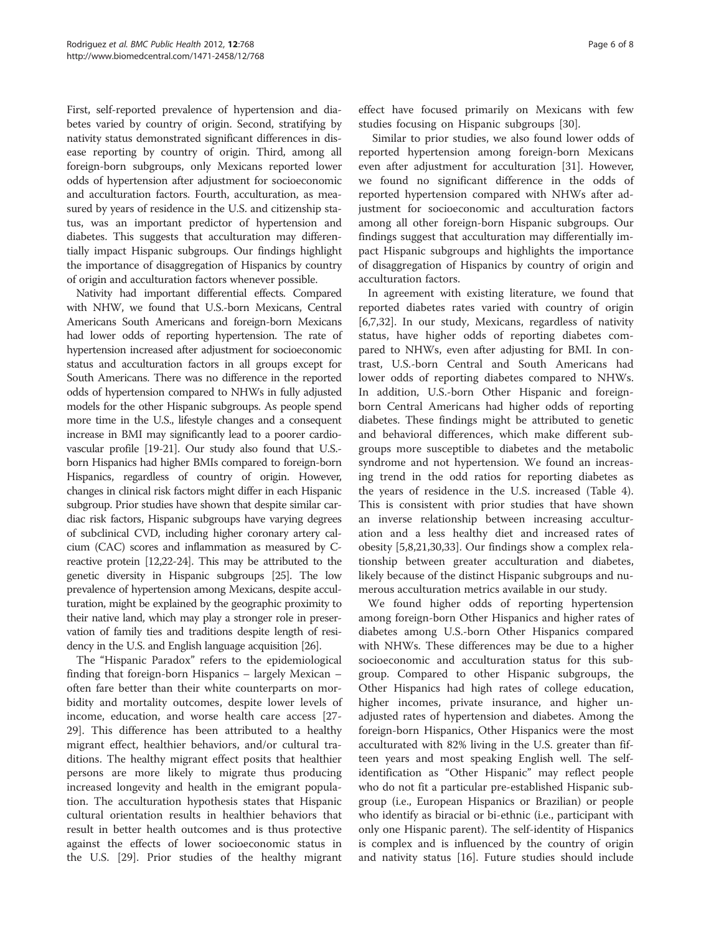First, self-reported prevalence of hypertension and diabetes varied by country of origin. Second, stratifying by nativity status demonstrated significant differences in disease reporting by country of origin. Third, among all foreign-born subgroups, only Mexicans reported lower odds of hypertension after adjustment for socioeconomic and acculturation factors. Fourth, acculturation, as measured by years of residence in the U.S. and citizenship status, was an important predictor of hypertension and diabetes. This suggests that acculturation may differentially impact Hispanic subgroups. Our findings highlight the importance of disaggregation of Hispanics by country of origin and acculturation factors whenever possible.

Nativity had important differential effects. Compared with NHW, we found that U.S.-born Mexicans, Central Americans South Americans and foreign-born Mexicans had lower odds of reporting hypertension. The rate of hypertension increased after adjustment for socioeconomic status and acculturation factors in all groups except for South Americans. There was no difference in the reported odds of hypertension compared to NHWs in fully adjusted models for the other Hispanic subgroups. As people spend more time in the U.S., lifestyle changes and a consequent increase in BMI may significantly lead to a poorer cardiovascular profile [[19-21\]](#page-7-0). Our study also found that U.S. born Hispanics had higher BMIs compared to foreign-born Hispanics, regardless of country of origin. However, changes in clinical risk factors might differ in each Hispanic subgroup. Prior studies have shown that despite similar cardiac risk factors, Hispanic subgroups have varying degrees of subclinical CVD, including higher coronary artery calcium (CAC) scores and inflammation as measured by Creactive protein [\[12,22-24\]](#page-7-0). This may be attributed to the genetic diversity in Hispanic subgroups [[25](#page-7-0)]. The low prevalence of hypertension among Mexicans, despite acculturation, might be explained by the geographic proximity to their native land, which may play a stronger role in preservation of family ties and traditions despite length of residency in the U.S. and English language acquisition [\[26](#page-7-0)].

The "Hispanic Paradox" refers to the epidemiological finding that foreign-born Hispanics – largely Mexican – often fare better than their white counterparts on morbidity and mortality outcomes, despite lower levels of income, education, and worse health care access [\[27-](#page-7-0) [29\]](#page-7-0). This difference has been attributed to a healthy migrant effect, healthier behaviors, and/or cultural traditions. The healthy migrant effect posits that healthier persons are more likely to migrate thus producing increased longevity and health in the emigrant population. The acculturation hypothesis states that Hispanic cultural orientation results in healthier behaviors that result in better health outcomes and is thus protective against the effects of lower socioeconomic status in the U.S. [[29\]](#page-7-0). Prior studies of the healthy migrant

effect have focused primarily on Mexicans with few studies focusing on Hispanic subgroups [\[30](#page-7-0)].

Similar to prior studies, we also found lower odds of reported hypertension among foreign-born Mexicans even after adjustment for acculturation [[31](#page-7-0)]. However, we found no significant difference in the odds of reported hypertension compared with NHWs after adjustment for socioeconomic and acculturation factors among all other foreign-born Hispanic subgroups. Our findings suggest that acculturation may differentially impact Hispanic subgroups and highlights the importance of disaggregation of Hispanics by country of origin and acculturation factors.

In agreement with existing literature, we found that reported diabetes rates varied with country of origin [[6,7,](#page-6-0)[32\]](#page-7-0). In our study, Mexicans, regardless of nativity status, have higher odds of reporting diabetes compared to NHWs, even after adjusting for BMI. In contrast, U.S.-born Central and South Americans had lower odds of reporting diabetes compared to NHWs. In addition, U.S.-born Other Hispanic and foreignborn Central Americans had higher odds of reporting diabetes. These findings might be attributed to genetic and behavioral differences, which make different subgroups more susceptible to diabetes and the metabolic syndrome and not hypertension. We found an increasing trend in the odd ratios for reporting diabetes as the years of residence in the U.S. increased (Table [4](#page-4-0)). This is consistent with prior studies that have shown an inverse relationship between increasing acculturation and a less healthy diet and increased rates of obesity [\[5](#page-6-0),[8](#page-6-0),[21,30,33](#page-7-0)]. Our findings show a complex relationship between greater acculturation and diabetes, likely because of the distinct Hispanic subgroups and numerous acculturation metrics available in our study.

We found higher odds of reporting hypertension among foreign-born Other Hispanics and higher rates of diabetes among U.S.-born Other Hispanics compared with NHWs. These differences may be due to a higher socioeconomic and acculturation status for this subgroup. Compared to other Hispanic subgroups, the Other Hispanics had high rates of college education, higher incomes, private insurance, and higher unadjusted rates of hypertension and diabetes. Among the foreign-born Hispanics, Other Hispanics were the most acculturated with 82% living in the U.S. greater than fifteen years and most speaking English well. The selfidentification as "Other Hispanic" may reflect people who do not fit a particular pre-established Hispanic subgroup (i.e., European Hispanics or Brazilian) or people who identify as biracial or bi-ethnic (i.e., participant with only one Hispanic parent). The self-identity of Hispanics is complex and is influenced by the country of origin and nativity status [\[16](#page-7-0)]. Future studies should include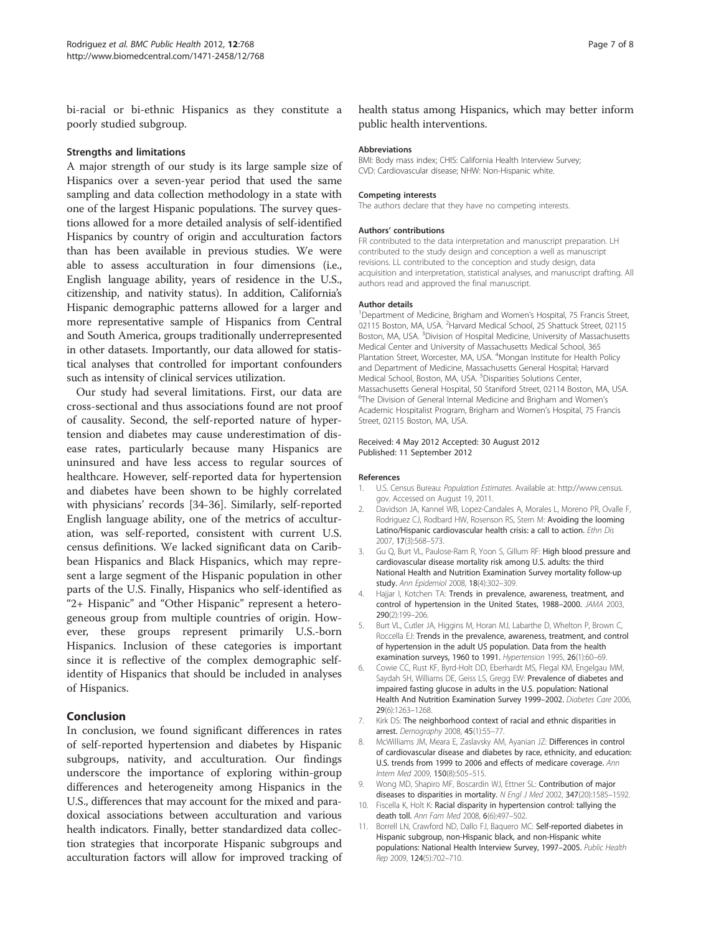<span id="page-6-0"></span>bi-racial or bi-ethnic Hispanics as they constitute a poorly studied subgroup.

#### Strengths and limitations

A major strength of our study is its large sample size of Hispanics over a seven-year period that used the same sampling and data collection methodology in a state with one of the largest Hispanic populations. The survey questions allowed for a more detailed analysis of self-identified Hispanics by country of origin and acculturation factors than has been available in previous studies. We were able to assess acculturation in four dimensions (i.e., English language ability, years of residence in the U.S., citizenship, and nativity status). In addition, California's Hispanic demographic patterns allowed for a larger and more representative sample of Hispanics from Central and South America, groups traditionally underrepresented in other datasets. Importantly, our data allowed for statistical analyses that controlled for important confounders such as intensity of clinical services utilization.

Our study had several limitations. First, our data are cross-sectional and thus associations found are not proof of causality. Second, the self-reported nature of hypertension and diabetes may cause underestimation of disease rates, particularly because many Hispanics are uninsured and have less access to regular sources of healthcare. However, self-reported data for hypertension and diabetes have been shown to be highly correlated with physicians' records [[34-36](#page-7-0)]. Similarly, self-reported English language ability, one of the metrics of acculturation, was self-reported, consistent with current U.S. census definitions. We lacked significant data on Caribbean Hispanics and Black Hispanics, which may represent a large segment of the Hispanic population in other parts of the U.S. Finally, Hispanics who self-identified as "2+ Hispanic" and "Other Hispanic" represent a heterogeneous group from multiple countries of origin. However, these groups represent primarily U.S.-born Hispanics. Inclusion of these categories is important since it is reflective of the complex demographic selfidentity of Hispanics that should be included in analyses of Hispanics.

#### Conclusion

In conclusion, we found significant differences in rates of self-reported hypertension and diabetes by Hispanic subgroups, nativity, and acculturation. Our findings underscore the importance of exploring within-group differences and heterogeneity among Hispanics in the U.S., differences that may account for the mixed and paradoxical associations between acculturation and various health indicators. Finally, better standardized data collection strategies that incorporate Hispanic subgroups and acculturation factors will allow for improved tracking of health status among Hispanics, which may better inform public health interventions.

#### **Abbreviations**

BMI: Body mass index; CHIS: California Health Interview Survey; CVD: Cardiovascular disease; NHW: Non-Hispanic white.

#### Competing interests

The authors declare that they have no competing interests.

#### Authors' contributions

FR contributed to the data interpretation and manuscript preparation. LH contributed to the study design and conception a well as manuscript revisions. LL contributed to the conception and study design, data acquisition and interpretation, statistical analyses, and manuscript drafting. All authors read and approved the final manuscript.

#### Author details

<sup>1</sup>Department of Medicine, Brigham and Women's Hospital, 75 Francis Street, 02115 Boston, MA, USA. <sup>2</sup> Harvard Medical School, 25 Shattuck Street, 02115 Boston, MA, USA. <sup>3</sup> Division of Hospital Medicine, University of Massachusetts Medical Center and University of Massachusetts Medical School, 365 Plantation Street, Worcester, MA, USA. <sup>4</sup>Mongan Institute for Health Policy and Department of Medicine, Massachusetts General Hospital; Harvard Medical School, Boston, MA, USA. <sup>5</sup>Disparities Solutions Center, Massachusetts General Hospital, 50 Staniford Street, 02114 Boston, MA, USA. 6 The Division of General Internal Medicine and Brigham and Women's Academic Hospitalist Program, Brigham and Women's Hospital, 75 Francis Street, 02115 Boston, MA, USA.

#### Received: 4 May 2012 Accepted: 30 August 2012 Published: 11 September 2012

#### References

- 1. U.S. Census Bureau: Population Estimates. Available at: [http://www.census.](http://www.census.gov) [gov.](http://www.census.gov) Accessed on August 19, 2011.
- 2. Davidson JA, Kannel WB, Lopez-Candales A, Morales L, Moreno PR, Ovalle F, Rodriguez CJ, Rodbard HW, Rosenson RS, Stern M: Avoiding the looming Latino/Hispanic cardiovascular health crisis: a call to action. Ethn Dis 2007, 17(3):568–573.
- 3. Gu Q, Burt VL, Paulose-Ram R, Yoon S, Gillum RF: High blood pressure and cardiovascular disease mortality risk among U.S. adults: the third National Health and Nutrition Examination Survey mortality follow-up study. Ann Epidemiol 2008, 18(4):302–309.
- 4. Hajjar I, Kotchen TA: Trends in prevalence, awareness, treatment, and control of hypertension in the United States, 1988–2000. JAMA 2003, 290(2):199–206.
- Burt VL, Cutler JA, Higgins M, Horan MJ, Labarthe D, Whelton P, Brown C, Roccella EJ: Trends in the prevalence, awareness, treatment, and control of hypertension in the adult US population. Data from the health examination surveys, 1960 to 1991. Hypertension 1995, 26(1):60–69.
- 6. Cowie CC, Rust KF, Byrd-Holt DD, Eberhardt MS, Flegal KM, Engelgau MM, Saydah SH, Williams DE, Geiss LS, Gregg EW: Prevalence of diabetes and impaired fasting glucose in adults in the U.S. population: National Health And Nutrition Examination Survey 1999–2002. Diabetes Care 2006, 29(6):1263–1268.
- 7. Kirk DS: The neighborhood context of racial and ethnic disparities in arrest. Demography 2008, 45(1):55–77.
- 8. McWilliams JM, Meara E, Zaslavsky AM, Ayanian JZ: Differences in control of cardiovascular disease and diabetes by race, ethnicity, and education: U.S. trends from 1999 to 2006 and effects of medicare coverage. Ann Intern Med 2009, 150(8):505–515.
- 9. Wong MD, Shapiro MF, Boscardin WJ, Ettner SL: Contribution of major diseases to disparities in mortality. N Engl J Med 2002, 347(20):1585–1592.
- 10. Fiscella K, Holt K: Racial disparity in hypertension control: tallying the death toll. Ann Fam Med 2008, 6(6):497–502.
- 11. Borrell LN, Crawford ND, Dallo FJ, Baquero MC: Self-reported diabetes in Hispanic subgroup, non-Hispanic black, and non-Hispanic white populations: National Health Interview Survey, 1997–2005. Public Health Rep 2009, 124(5):702–710.